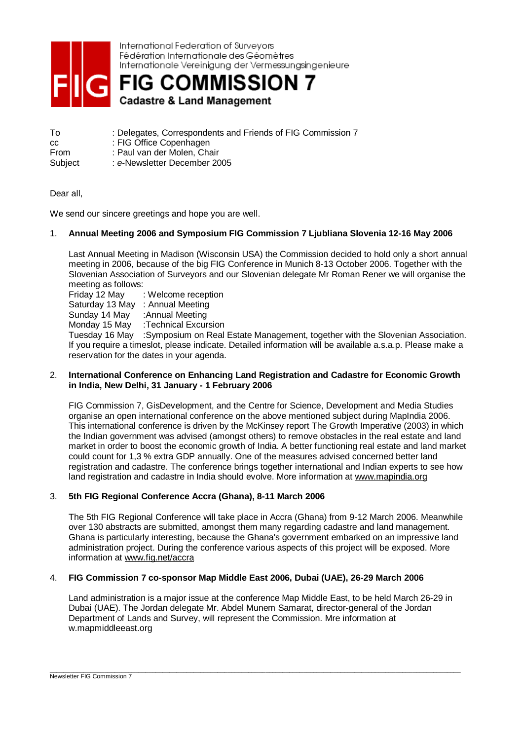

International Federation of Surveyors Fédération Internationale des Géomètres Internationale Vereinigung der Vermessungsingenieure

**R** FIG COMMISSION 7 **Cadastre & Land Management** 

| Τo      | : Delegates, Correspondents and Friends of FIG Commission 7 |
|---------|-------------------------------------------------------------|
| CC.     | : FIG Office Copenhagen                                     |
| From    | : Paul van der Molen, Chair                                 |
| Subject | e-Newsletter December 2005                                  |

Dear all,

We send our sincere greetings and hope you are well.

# 1. **Annual Meeting 2006 and Symposium FIG Commission 7 Ljubliana Slovenia 12-16 May 2006**

Last Annual Meeting in Madison (Wisconsin USA) the Commission decided to hold only a short annual meeting in 2006, because of the big FIG Conference in Munich 8-13 October 2006. Together with the Slovenian Association of Surveyors and our Slovenian delegate Mr Roman Rener we will organise the meeting as follows:

Friday 12 May : Welcome reception Saturday 13 May : Annual Meeting Sunday 14 May :Annual Meeting Monday 15 May :Technical Excursion Tuesday 16 May :Symposium on Real Estate Management, together with the Slovenian Association. If you require a timeslot, please indicate. Detailed information will be available a.s.a.p. Please make a reservation for the dates in your agenda.

### 2. **International Conference on Enhancing Land Registration and Cadastre for Economic Growth in India, New Delhi, 31 January - 1 February 2006**

FIG Commission 7, GisDevelopment, and the Centre for Science, Development and Media Studies organise an open international conference on the above mentioned subject during MapIndia 2006. This international conference is driven by the McKinsey report The Growth Imperative (2003) in which the Indian government was advised (amongst others) to remove obstacles in the real estate and land market in order to boost the economic growth of India. A better functioning real estate and land market could count for 1,3 % extra GDP annually. One of the measures advised concerned better land registration and cadastre. The conference brings together international and Indian experts to see how land registration and cadastre in India should evolve. More information at [www.mapindia.org](http://www.mapindia.org)

## 3. **5th FIG Regional Conference Accra (Ghana), 8-11 March 2006**

The 5th FIG Regional Conference will take place in Accra (Ghana) from 9-12 March 2006. Meanwhile over 130 abstracts are submitted, amongst them many regarding cadastre and land management. Ghana is particularly interesting, because the Ghana's government embarked on an impressive land administration project. During the conference various aspects of this project will be exposed. More information at [www.fig.net/accra](http://www.fig.net/accra)

### 4. **FIG Commission 7 co-sponsor Map Middle East 2006, Dubai (UAE), 26-29 March 2006**

Land administration is a major issue at the conference Map Middle East, to be held March 26-29 in Dubai (UAE). The Jordan delegate Mr. Abdel Munem Samarat, director-general of the Jordan Department of Lands and Survey, will represent the Commission. Mre information at w.mapmiddleeast.org

\_\_\_\_\_\_\_\_\_\_\_\_\_\_\_\_\_\_\_\_\_\_\_\_\_\_\_\_\_\_\_\_\_\_\_\_\_\_\_\_\_\_\_\_\_\_\_\_\_\_\_\_\_\_\_\_\_\_\_\_\_\_\_\_\_\_\_\_\_\_\_\_\_\_\_\_\_\_\_\_\_\_\_\_\_\_\_\_\_\_\_\_\_\_\_\_\_\_\_\_\_\_\_\_\_\_\_\_\_\_\_\_\_\_\_\_\_\_\_\_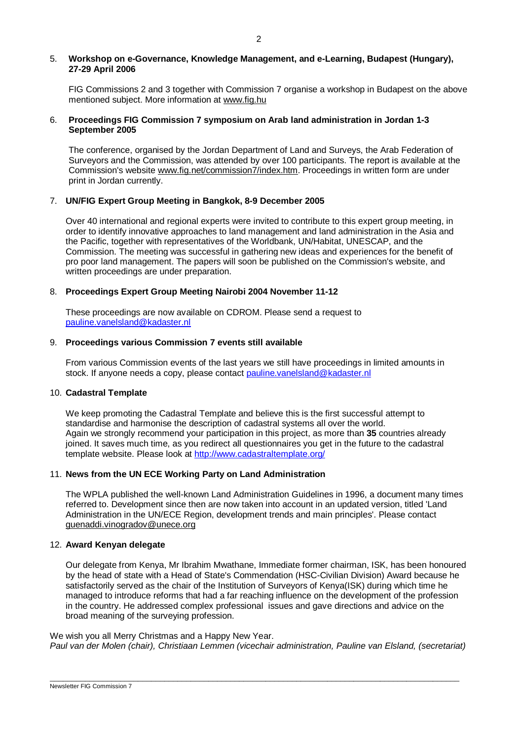#### 5. **Workshop on e-Governance, Knowledge Management, and e-Learning, Budapest (Hungary), 27-29 April 2006**

FIG Commissions 2 and 3 together with Commission 7 organise a workshop in Budapest on the above mentioned subject. More information at [www.fig.hu](http://www.fig.hu)

## 6. **Proceedings FIG Commission 7 symposium on Arab land administration in Jordan 1-3 September 2005**

The conference, organised by the Jordan Department of Land and Surveys, the Arab Federation of Surveyors and the Commission, was attended by over 100 participants. The report is available at the Commission's website [www.fig.net/commission7/index.htm](http://www.fig.net/commission7/index.htm). Proceedings in written form are under print in Jordan currently.

### 7. **UN/FIG Expert Group Meeting in Bangkok, 8-9 December 2005**

Over 40 international and regional experts were invited to contribute to this expert group meeting, in order to identify innovative approaches to land management and land administration in the Asia and the Pacific, together with representatives of the Worldbank, UN/Habitat, UNESCAP, and the Commission. The meeting was successful in gathering new ideas and experiences for the benefit of pro poor land management. The papers will soon be published on the Commission's website, and written proceedings are under preparation.

### 8. **Proceedings Expert Group Meeting Nairobi 2004 November 11-12**

These proceedings are now available on CDROM. Please send a request to [pauline.vanelsland@kadaster.nl](mailto:pauline.vanelsland@kadaster.nl)

### 9. **Proceedings various Commission 7 events still available**

From various Commission events of the last years we still have proceedings in limited amounts in stock. If anyone needs a copy, please contact [pauline.vanelsland@kadaster.nl](mailto:pauline.vanelsland@kadaster.nl)

#### 10. **Cadastral Template**

We keep promoting the Cadastral Template and believe this is the first successful attempt to standardise and harmonise the description of cadastral systems all over the world. Again we strongly recommend your participation in this project, as more than **35** countries already joined. It saves much time, as you redirect all questionnaires you get in the future to the cadastral template website. Please look at <http://www.cadastraltemplate.org/>

#### 11. **News from the UN ECE Working Party on Land Administration**

The WPLA published the well-known Land Administration Guidelines in 1996, a document many times referred to. Development since then are now taken into account in an updated version, titled 'Land Administration in the UN/ECE Region, development trends and main principles'. Please contact [guenaddi.vinogradov@unece.org](mailto:guenaddi.vinogradov@unece.org)

#### 12. **Award Kenyan delegate**

Our delegate from Kenya, Mr Ibrahim Mwathane, Immediate former chairman, ISK, has been honoured by the head of state with a Head of State's Commendation (HSC-Civilian Division) Award because he satisfactorily served as the chair of the Institution of Surveyors of Kenya(ISK) during which time he managed to introduce reforms that had a far reaching influence on the development of the profession in the country. He addressed complex professional issues and gave directions and advice on the broad meaning of the surveying profession.

We wish you all Merry Christmas and a Happy New Year. *Paul van der Molen (chair), Christiaan Lemmen (vicechair administration, Pauline van Elsland, (secretariat)* 

 $\overline{\phantom{a}}$  , and the contribution of the contribution of the contribution of the contribution of the contribution of the contribution of the contribution of the contribution of the contribution of the contribution of the